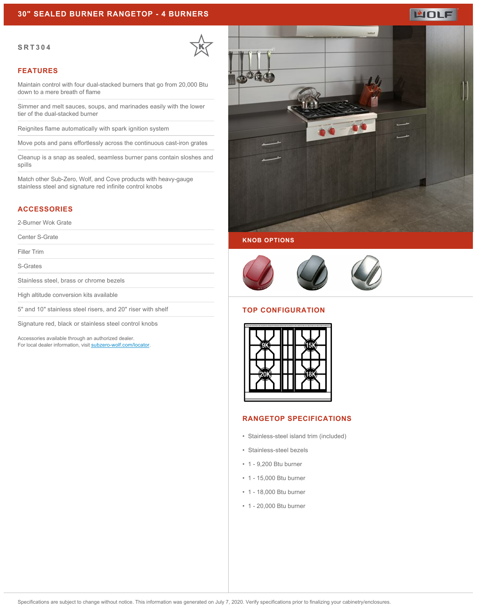## **30" SEALED BURNER RANGETOP - 4 BURNERS**

#### **SRT304**



### **FEATURES**

Maintain control with four dual-stacked burners that go from 20,000 Btu down to a mere breath of flame

Simmer and melt sauces, soups, and marinades easily with the lower tier of the dual-stacked burner

Reignites flame automatically with spark ignition system

Move pots and pans effortlessly across the continuous cast-iron grates

Cleanup is a snap as sealed, seamless burner pans contain sloshes and spills

Match other Sub-Zero, Wolf, and Cove products with heavy-gauge stainless steel and signature red infinite control knobs

## **ACCESSORIES**

2-Burner Wok Grate

Center S-Grate

Filler Trim

S-Grates

Stainless steel, brass or chrome bezels

High altitude conversion kits available

5" and 10" stainless steel risers, and 20" riser with shelf

Signature red, black or stainless steel control knobs

Accessories available through an authorized dealer. For local dealer information, visit [subzero-wolf.com/locator.](http://www.subzero-wolf.com/locator)







#### **TOP CONFIGURATION**



### **RANGETOP SPECIFICATIONS**

- Stainless-steel island trim (included)
- Stainless-steel bezels
- 1 9,200 Btu burner
- 1 15,000 Btu burner
- 1 18,000 Btu burner
- 1 20,000 Btu burner